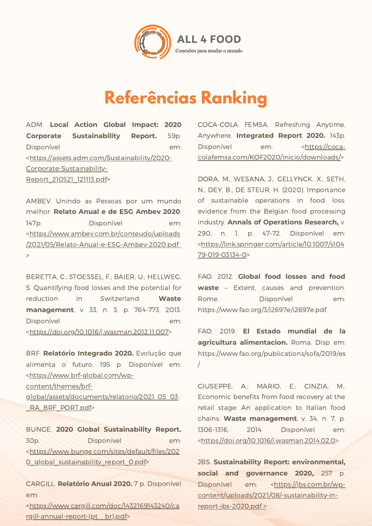

### **Referências Ranking**

ADM. **Local Action Global Impact: 2020 Corporate Sustainability Report.** 59p. Disponível em: [<https://assets.adm.com/Sustainability/2020-](https://assets.adm.com/Sustainability/2020-Corporate-Sustainability-Report_210521_121113.pdf) Corporate-Sustainability-Report\_210521\_121113.pdf>

AMBEV. Unindo as Pessoas por um mundo melhor. **Relato Anual e de ESG Ambev 2020**. 147p. Disponível em: <https://www.ambev.com.br/conteudo/uploads [/2021/05/Relato-Anual-e-ESG-Ambev-2020.pdf](https://www.ambev.com.br/conteudo/uploads/2021/05/Relato-Anual-e-ESG-Ambev-2020.pdf) >

BERETTA, C.; STOESSEL, F.; BAIER, U.; HELLWEG, S. Quantifying food losses and the potential for reduction in Switzerland. **Waste management**, v. 33, n. 3, p. 764-773, 2013. Disponível em: [<https://doi.org/10.1016/j.wasman.2012.11.007](https://doi.org/10.1016/j.wasman.2012.11.007)>

BRF. **Relatório Integrado 2020.** Evolução que alimenta o futuro. 195 p. Disponível em: <https://www.brf-global.com/wp-

content/themes/brf-

[global/assets/documents/relatorio/2021\\_05\\_03](https://www.brf-global.com/wp-content/themes/brf-global/assets/documents/relatorio/2021_05_03_RA_BRF_PORT.pdf) RA\_BRF\_PORT.pdf>

BUNGE. **2020 Global Sustainability Report.** 30p. Disponível em: [<https://www.bunge.com/sites/default/files/202](https://www.bunge.com/sites/default/files/2020_global_sustainability_report_0.pdf) 0\_global\_sustainability\_report\_0.pdf>

CARGILL. **Relatório Anual 2020.** 7 p. Disponível em:

[<https://www.cargill.com/doc/1432169143240/ca](https://www.cargill.com/doc/1432169143240/cargill-annual-report-(pt__br).pdf) rgill-annual-report-(pt\_\_br).pdf>

COCA-COLA FEMSA. Refreshing Anytime, Anywhere. **Integrated Report 2020.** 143p. Disponível em: < https://coca[colafemsa.com/KOF2020/inicio/downloads/>](https://coca-colafemsa.com/KOF2020/inicio/downloads/)

DORA, M., WESANA, J., GELLYNCK, X., SETH, N., DEY, B., DE STEUR, H. (2020). Importance of sustainable operations in food loss: evidence from the Belgian food processing industry. **Annals of Operations Research,** v. 290, n. 1, p. 47-72. Disponível em: [<https://link.springer.com/article/10.1007/s104](https://link.springer.com/article/10.1007/s10479-019-03134-0) 79-019-03134-0>

FAO. 2012. **Global food losses and food waste** – Extent, causes and prevention. Rome. Disponível em: <https://www.fao.org/3/i2697e/i2697e.pdf>

FAO. 2019. **El Estado mundial de la agricultura alimentacion.** Roma. Disp em: [https://www.fao.org/publications/sofa/2019/es](https://www.fao.org/publications/sofa/2019/es/) /

GIUSEPPE, A.; MARIO, E.; CINZIA, M.. Economic benefits from food recovery at the retail stage: An application to Italian food chains. **Waste management**, v. 34, n. 7, p. 1306-1316, 2014. Disponível em: [<https://doi.org/10.1016/j.wasman.2014.02.0](https://doi.org/10.1016/j.wasman.2014.02.018)>

JBS. **Sustainability Report: environmental, social and governance 2020,** 257 p. Disponível em: <https://jbs.com.br/wp[content/uploads/2021/08/-sustainability-in](https://jbs.com.br/wp-content/uploads/2021/08/-sustainability-in-report-jbs-2020.pdf)report-jbs-2020.pdf >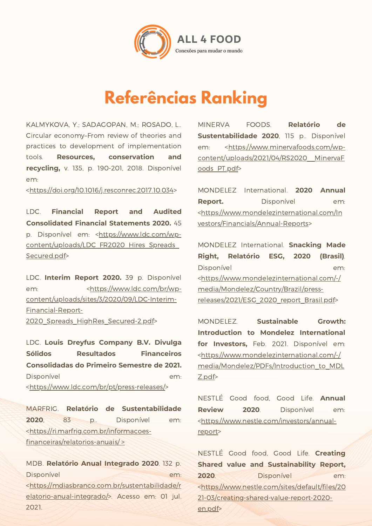

### **Referências Ranking**

KALMYKOVA, Y.; SADAGOPAN, M.; ROSADO, L.. Circular economy–From review of theories and practices to development of implementation tools. **Resources, conservation and recycling,** v. 135, p. 190-201, 2018. Disponível em:

[<https://doi.org/10.1016/j.resconrec.2017.10.034](https://doi.org/10.1016/j.resconrec.2017.10.034)>

LDC. **Financial Report and Audited Consolidated Financial Statements 2020.** 45 p. Disponível em: <https://www.ldc.com/wp[content/uploads/LDC\\_FR2020\\_Hires\\_Spreads\\_](https://www.ldc.com/wp-content/uploads/LDC_FR2020_Hires_Spreads_Secured.pdf) Secured.pdf>

LDC. **Interim Report 2020.** 39 p. Disponível em: <https://www.ldc.com/br/wp[content/uploads/sites/3/2020/09/LDC-Interim-](https://www.ldc.com/br/wp-content/uploads/sites/3/2020/09/LDC-Interim-Financial-Report-2020_Spreads_HighRes_Secured-2.pdf)Financial-Report-2020 Spreads HighRes Secured-2.pdf>

LDC. **Louis Dreyfus Company B.V. Divulga Sólidos Resultados Financeiros Consolidadas do Primeiro Semestre de 2021.** Disponível em: [<https://www.ldc.com/br/pt/press-releases/](https://www.ldc.com/br/pt/press-releases/)>

MARFRIG. **Relatório de Sustentabilidade 2020**, 83 p.. Disponível em: [<https://ri.marfrig.com.br/informacoes](https://ri.marfrig.com.br/informacoes-financeiras/relatorios-anuais/)financeiras/relatorios-anuais/ >

MDB. **Relatório Anual Integrado 2020**. 132 p. Disponível em: [<https://mdiasbranco.com.br/sustentabilidade/r](https://mdiasbranco.com.br/sustentabilidade/relatorio-anual-integrado/) elatorio-anual-integrado/>. Acesso em: 01 jul. 2021.

MINERVA FOODS. **Relatório de Sustentabilidade 2020**, 115 p.. Disponível em: <https://www.minervafoods.com/wp[content/uploads/2021/04/RS2020\\_\\_MinervaF](https://www.minervafoods.com/wp-content/uploads/2021/04/RS2020__MinervaFoods_PT.pdf) oods\_PT.pdf>

MONDELEZ International. **2020 Annual Report.** Disponível em: [<https://www.mondelezinternational.com/In](https://www.mondelezinternational.com/Investors/Financials/Annual-Reports) vestors/Financials/Annual-Reports>

MONDELEZ International. **Snacking Made Right, Relatório ESG, 2020 (Brasil)**. Disponível em: [<https://www.mondelezinternational.com/-/](https://www.mondelezinternational.com/-/media/Mondelez/Country/Brazil/press-releases/2021/ESG_2020_report_Brasil.pdf) media/Mondelez/Country/Brazil/pressreleases/2021/ESG\_2020\_report\_Brasil.pdf>

MONDELEZ. **Sustainable Growth: Introduction to Mondelez International for Investors,** Feb. 2021. Disponível em: <https://www.mondelezinternational.com/-/ [media/Mondelez/PDFs/Introduction\\_to\\_MDL](https://www.mondelezinternational.com/-/media/Mondelez/PDFs/Introduction_to_MDLZ.pdf) Z.pdf>

NESTLÉ Good food, Good Life. **Annual Review 2020**. Disponível em: [<https://www.nestle.com/investors/annual](https://www.nestle.com/investors/annual-report)report>

NESTLÉ Good food, Good Life. **Creating Shared value and Sustainability Report, 2020**. Disponível em: [<https://www.nestle.com/sites/default/files/20](https://www.nestle.com/sites/default/files/2021-03/creating-shared-value-report-2020-en.pdf) 21-03/creating-shared-value-report-2020 en.pdf>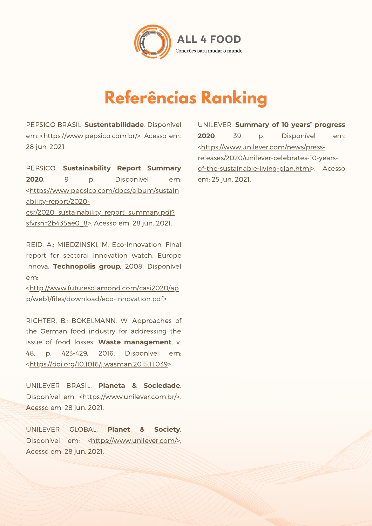

## **Referências Ranking**

PEPSICO BRASIL. **Sustentabilidade**. Disponível em: [<https://www.pepsico.com.br/>.](https://www.pepsico.com.br/) Acesso em: 28 jun. 2021.

PEPSICO. **Sustainability Report Summary 2020**. 9 p. Disponível em: [<https://www.pepsico.com/docs/album/sustain](https://www.pepsico.com/docs/album/sustainability-report/2020-csr/2020_sustainability_report_summary.pdf?sfvrsn=2b435ae0_8) ability-report/2020 csr/2020\_sustainability\_report\_summary.pdf? sfvrsn=2b435ae0 8>. Acesso em: 28 jun. 2021.

REID, A.; MIEDZINSKI, M. Eco-innovation. Final report for sectoral innovation watch. Europe Innova. **Technopolis group**, 2008. Disponível em:

[<http://www.futuresdiamond.com/casi2020/ap](http://www.futuresdiamond.com/casi2020/app/web1/files/download/eco-innovation.pdf) p/web1/files/download/eco-innovation.pdf>

RICHTER, B.; BOKELMANN, W. Approaches of the German food industry for addressing the issue of food losses. **Waste management**, v. 48, p. 423-429, 2016. Disponível em: [<https://doi.org/10.1016/j.wasman.2015.11.039>](https://doi.org/10.1016/j.wasman.2015.11.039)

UNILEVER BRASIL. **Planeta & Sociedade**. Disponível em: [<https://www.unilever.com.br/>](https://www.unilever.com.br/). Acesso em: 28 jun. 2021.

UNILEVER GLOBAL. **Planet & Society**. Disponível em: <https://www.unilever.com/>. Acesso em: 28 jun. 2021.

UNILEVER. **Summary of 10 years' progress 2020**. 39 p. Disponível em: <https://www.unilever.com/news/pressreleases/2020/unilever-celebrates-10-yearsof-the-sustainable-living-plan.html>. Acesso em: 25 jun. 2021.